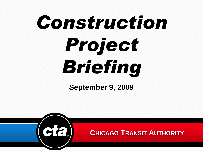# *Construction Project Briefing*

**September 9, 2009**

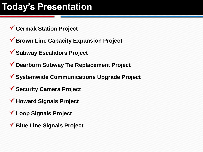## **Today's Presentation**

- **Cermak Station Project**
- **Brown Line Capacity Expansion Project**
- **Subway Escalators Project**
- **Dearborn Subway Tie Replacement Project**
- **Systemwide Communications Upgrade Project**
- **Security Camera Project**
- **Howard Signals Project**
- **Loop Signals Project**
- **Blue Line Signals Project**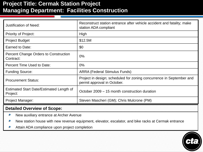## **Project Title: Cermak Station Project Managing Department: Facilities Construction**

| <b>Justification of Need:</b>                             | Reconstruct station entrance after vehicle accident and fatality; make<br>station ADA compliant     |
|-----------------------------------------------------------|-----------------------------------------------------------------------------------------------------|
| <b>Priority of Project:</b>                               | High                                                                                                |
| <b>Project Budget</b>                                     | \$12.5M                                                                                             |
| Earned to Date:                                           | \$0                                                                                                 |
| <b>Percent Change Orders to Construction</b><br>Contract: | $0\%$                                                                                               |
| Percent Time Used to Date:                                | $0\%$                                                                                               |
| <b>Funding Source:</b>                                    | <b>ARRA (Federal Stimulus Funds)</b>                                                                |
| <b>Procurement Status:</b>                                | Project in design; scheduled for zoning concurrence in September and<br>permit approval in October. |
| Estimated Start Date/Estimated Length of<br>Project:      | October 2009 – 15 month construction duration                                                       |
| <b>Project Manager:</b>                                   | Steven Mascheri (GM); Chris Mulcrone (PM)                                                           |

- $\bullet$ New auxiliary entrance at Archer Avenue
- New station house with new revenue equipment, elevator, escalator, and bike racks at Cermak entrance
- Attain ADA compliance upon project completion

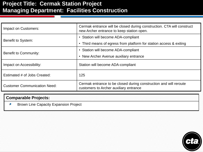## **Project Title: Cermak Station Project Managing Department: Facilities Construction**

| Impact on Customers:                | Cermak entrance will be closed during construction. CTA will construct<br>new Archer entrance to keep station open. |  |
|-------------------------------------|---------------------------------------------------------------------------------------------------------------------|--|
| Benefit to System:                  | • Station will become ADA-compliant                                                                                 |  |
|                                     | Third means of egress from platform for station access & exiting<br>$\bullet$                                       |  |
| <b>Benefit to Community:</b>        | • Station will become ADA-compliant                                                                                 |  |
|                                     | New Archer Avenue auxiliary entrance<br>$\bullet$                                                                   |  |
| Impact on Accessibility:            | Station will become ADA-compliant                                                                                   |  |
| Estimated # of Jobs Created:        | 125                                                                                                                 |  |
| <b>Customer Communication Need:</b> | Cermak entrance to be closed during construction and will reroute<br>customers to Archer auxiliary entrance         |  |

#### **Comparable Projects:**

Brown Line Capacity Expansion Project

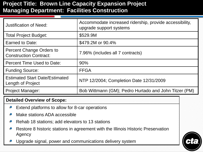## **Project Title: Brown Line Capacity Expansion Project Managing Department: Facilities Construction**

| Justification of Need:                                           | Accommodate increased ridership, provide accessibility,<br>upgrade support systems |
|------------------------------------------------------------------|------------------------------------------------------------------------------------|
| <b>Total Project Budget:</b>                                     | \$529.9M                                                                           |
| Earned to Date:                                                  | \$479.2M or 90.4%                                                                  |
| <b>Percent Change Orders to</b><br><b>Construction Contract:</b> | 7.96% (includes all 7 contracts)                                                   |
| Percent Time Used to Date:                                       | 90%                                                                                |
| <b>Funding Source:</b>                                           | <b>FFGA</b>                                                                        |
| <b>Estimated Start Date/Estimated</b><br>Length of Project       | NTP 12/2004; Completion Date 12/31/2009                                            |
| <b>Project Manager:</b>                                          | Bob Wittmann (GM); Pedro Hurtado and John Titzer (PM)                              |

- Extend platforms to allow for 8-car operations
- Make stations ADA accessible
- Rehab 18 stations; add elevators to 13 stations
- Restore 8 historic stations in agreement with the Illinois Historic Preservation Agency
- Upgrade signal, power and communications delivery system

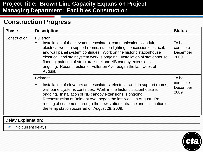## **Project Title: Brown Line Capacity Expansion Project Managing Department: Facilities Construction**

## **Construction Progress**

| <b>Phase</b>              | <b>Description</b>                                                                                                                                                                                                                                                                                                                                                                                                                                                                 | <b>Status</b>                         |
|---------------------------|------------------------------------------------------------------------------------------------------------------------------------------------------------------------------------------------------------------------------------------------------------------------------------------------------------------------------------------------------------------------------------------------------------------------------------------------------------------------------------|---------------------------------------|
| Construction              | <b>Fullerton</b><br>Installation of the elevators, escalators, communications conduit,<br>п<br>electrical work in support rooms, station lighting, concession electrical,<br>and wall panel system continues. Work on the historic stationhouse<br>electrical, and stair system work is ongoing. Installation of stationhouse<br>flooring, painting of structural steel and NB canopy extensions is<br>ongoing. Reconstruction of Fullerton Ave. began the last week of<br>August. | To be<br>complete<br>December<br>2009 |
|                           | <b>Belmont</b><br>Installation of elevators and escalators, electrical work in support rooms,<br>wall panel systems continues. Work in the historic stationhouse is<br>ongoing. Installation of NB canopy extensions is ongoing.<br>Reconstruction of Belmont Ave. began the last week in August. Re-<br>routing of customers through the new station entrance and elimination of<br>the temp station occurred on August 29, 2009.                                                 | To be<br>complete<br>December<br>2009 |
| <b>Delay Explanation:</b> |                                                                                                                                                                                                                                                                                                                                                                                                                                                                                    |                                       |

No current delays.

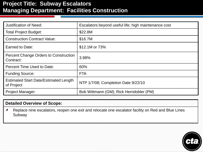## **Project Title: Subway Escalators Managing Department: Facilities Construction**

| <b>Justification of Need:</b>                              | Escalators beyond useful life; high maintenance cost |
|------------------------------------------------------------|------------------------------------------------------|
| <b>Total Project Budget:</b>                               | \$22.8M                                              |
| <b>Construction Contract Value:</b>                        | \$16.7M                                              |
| Earned to Date:                                            | \$12.1M or 73%                                       |
| <b>Percent Change Orders to Construction</b><br>Contract:  | 3.98%                                                |
| <b>Percent Time Used to Date:</b>                          | 60%                                                  |
| <b>Funding Source:</b>                                     | <b>FTA</b>                                           |
| <b>Estimated Start Date/Estimated Length</b><br>of Project | NTP 1/7/08; Completion Date 9/22/10                  |
| <b>Project Manager:</b>                                    | Bob Wittmann (GM); Rick Herndobler (PM)              |

#### **Detailed Overview of Scope:**

Replace nine escalators, reopen one exit and relocate one escalator facility on Red and Blue Lines Subway

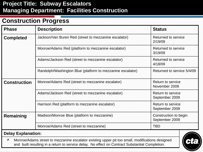## **Project Title: Subway Escalators Managing Department: Facilities Construction**

## **Construction Progress**

| <b>Phase</b>              | <b>Description</b><br><b>Status</b>                                                    |                                            |  |
|---------------------------|----------------------------------------------------------------------------------------|--------------------------------------------|--|
| <b>Completed</b>          | Jackson/Van Buren Red (street to mezzanine escalator)                                  | <b>Returned to service</b><br>2/19/09      |  |
|                           | Monroe/Adams Red (platform to mezzanine escalator)                                     | Returned to service<br>3/19/09             |  |
|                           | Adams/Jackson Red (street to mezzanine escalator)                                      | Returned to service<br>4/18/09             |  |
|                           | Randolph/Washington Blue (platform to mezzanine escalator)                             | Returned to service 5/4/09                 |  |
| <b>Construction</b>       | Monroe/Adams Red (street to mezzanine escalator)                                       | <b>Return to service</b><br>November 2009  |  |
|                           | Adams/Jackson Red (street to mezzanine escalator)                                      | <b>Return to service</b><br>September 2009 |  |
|                           | Harrison Red (platform to mezzanine escalator)                                         | Return to service<br>September 2009        |  |
| Remaining                 | Madison/Monroe Blue (platform to mezzanine)<br>Construction to begin<br>September 2009 |                                            |  |
|                           | Monroe/Adams Red (street to mezzanine)                                                 | <b>TBD</b>                                 |  |
| <b>Delay Explanation:</b> |                                                                                        |                                            |  |

Monroe/Adams street to mezzanine escalator existing upper pit too small, modifications designed and built resulting in a return to service delay. No effect on Contract Substantial Completion.

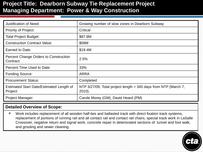## **Project Title: Dearborn Subway Tie Replacement Project Managing Department: Power & Way Construction**

| <b>Justification of Need:</b>                             | Growing number of slow zones in Dearborn Subway                                 |
|-----------------------------------------------------------|---------------------------------------------------------------------------------|
| <b>Priority of Project:</b>                               | Critical                                                                        |
| <b>Total Project Budget:</b>                              | \$87.8M                                                                         |
| <b>Construction Contract Value:</b>                       | \$58M                                                                           |
| Earned to Date:                                           | \$19.4M                                                                         |
| <b>Percent Change Orders to Construction</b><br>Contract: | 2.5%                                                                            |
| Percent Time Used to Date:                                | 33%                                                                             |
| <b>Funding Source:</b>                                    | <b>ARRA</b>                                                                     |
| <b>Procurement Status:</b>                                | Completed                                                                       |
| Estimated Start Date/Estimated Length of<br>Project:      | NTP $3/27/09$ ; Total project length = 345 days from NTP (March 7,<br>$2010$ ). |
| <b>Project Manager:</b>                                   | Carole Morey (GM); David Heard (PM)                                             |

#### **Detailed Overview of Scope:**

Work includes replacement of all wooden half-ties and ballasted track with direct fixation track systems, replacement of portions of running rail and all contact rail and contact rail chairs, special track work in LaSalle Crossover, negative return and signal work, concrete repair in deteriorated sections of tunnel and foot walk, and grouting and sewer cleaning.

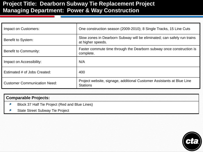## **Project Title: Dearborn Subway Tie Replacement Project Managing Department: Power & Way Construction**

| Impact on Customers:                | One construction season (2009-2010); 8 Single Tracks, 15 Line Cuts                           |
|-------------------------------------|----------------------------------------------------------------------------------------------|
| Benefit to System:                  | Slow zones in Dearborn Subway will be eliminated; can safely run trains<br>at higher speeds. |
| <b>Benefit to Community:</b>        | Faster commute time through the Dearborn subway once construction is<br>complete.            |
| Impact on Accessibility:            | N/A                                                                                          |
| Estimated # of Jobs Created:        | 400                                                                                          |
| <b>Customer Communication Need:</b> | Project website, signage, additional Customer Assistants at Blue Line<br><b>Stations</b>     |

#### **Comparable Projects:**

- Block 37 Half Tie Project (Red and Blue Lines)
- State Street Subway Tie Project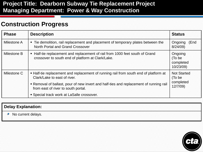## **Project Title: Dearborn Subway Tie Replacement Project Managing Department: Power & Way Construction**

## **Construction Progress**

| <b>Phase</b> | <b>Description</b>                                                                                                                                                                                                                                    | <b>Status</b>                                        |
|--------------|-------------------------------------------------------------------------------------------------------------------------------------------------------------------------------------------------------------------------------------------------------|------------------------------------------------------|
| Milestone A  | • Tie demolition, rail replacement and placement of temporary plates between the<br>North Portal and Grand Crossover                                                                                                                                  | Ongoing<br>(End<br>8/24/09                           |
| Milestone B  | • Half-tie replacement and replacement of rail from 1000 feet south of Grand<br>crossover to south end of platform at Clark/Lake.                                                                                                                     | Ongoing<br>(To be<br>completed<br>10/23/09)          |
| Milestone C  | • Half-tie replacement and replacement of running rail from south end of platform at<br>Clark/Lake to east of river.<br>• Removal of ballast, pour of new invert and half-ties and replacement of running rail<br>from east of river to south portal. | <b>Not Started</b><br>(To be<br>completed<br>12/7/09 |
|              | • Special track work at LaSalle crossover.                                                                                                                                                                                                            |                                                      |

#### **Delay Explanation:**

No current delays.

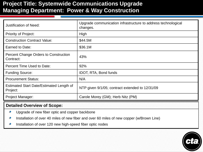## **Project Title: Systemwide Communications Upgrade Managing Department: Power & Way Construction**

| <b>Justification of Need:</b>                             | Upgrade communication infrastructure to address technological<br>changes. |
|-----------------------------------------------------------|---------------------------------------------------------------------------|
| <b>Priority of Project:</b>                               | High                                                                      |
| <b>Construction Contract Value:</b>                       | \$44.5M                                                                   |
| Earned to Date:                                           | \$36.1M                                                                   |
| <b>Percent Change Orders to Construction</b><br>Contract: | 43%                                                                       |
| Percent Time Used to Date:                                | 92%                                                                       |
| <b>Funding Source:</b>                                    | <b>IDOT, RTA, Bond funds</b>                                              |
| <b>Procurement Status:</b>                                | N/A                                                                       |
| Estimated Start Date/Estimated Length of<br>Project:      | NTP given 9/1/05; contract extended to 12/31/09                           |
| <b>Project Manager:</b>                                   | Carole Morey (GM); Herb Nitz (PM)                                         |

- Upgrade of new fiber optic and copper backbone  $\bullet$
- Installation of over 40 miles of new fiber and over 60 miles of new copper (w/Brown Line)
- Installation of over 120 new high-speed fiber optic nodes

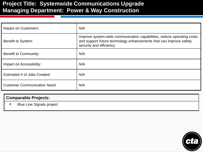## **Project Title: Systemwide Communications Upgrade Managing Department: Power & Way Construction**

| Impact on Customers:                | N/A                                                                                                                                                                       |
|-------------------------------------|---------------------------------------------------------------------------------------------------------------------------------------------------------------------------|
| Benefit to System:                  | Improve system-wide communication capabilities, reduce operating costs<br>and support future technology enhancements that can improve safety,<br>security and efficiency. |
| Benefit to Community:               | N/A                                                                                                                                                                       |
| Impact on Accessibility:            | N/A                                                                                                                                                                       |
| Estimated # of Jobs Created:        | N/A                                                                                                                                                                       |
| <b>Customer Communication Need:</b> | N/A                                                                                                                                                                       |

#### **Comparable Projects:**

Blue Line Signals project

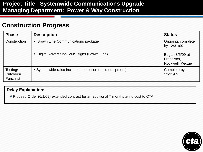## **Project Title: Systemwide Communications Upgrade Managing Department: Power & Way Construction**

## **Construction Progress**

| <b>Phase</b>                              | <b>Description</b>                                       | <b>Status</b>                                     |
|-------------------------------------------|----------------------------------------------------------|---------------------------------------------------|
| Construction                              | • Brown Line Communications package                      | Ongoing, complete<br>by 12/31/09                  |
|                                           | • Digital Advertising/ VMS signs (Brown Line)            | Began 8/5/09 at<br>Francisco,<br>Rockwell, Kedzie |
| Testing/<br>Cutovers/<br><b>Punchlist</b> | • Systemwide (also includes demolition of old equipment) | Complete by<br>12/31/09                           |

#### **Delay Explanation:**

Proceed Order (6/1/09) extended contract for an additional 7 months at no cost to CTA.

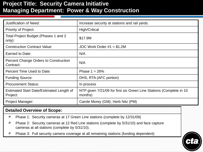## **Project Title: Security Camera Initiative Managing Department: Power & Way Construction**

| <b>Justification of Need:</b>                        | Increase security at stations and rail yards.                                  |
|------------------------------------------------------|--------------------------------------------------------------------------------|
| <b>Priority of Project:</b>                          | High/Critical                                                                  |
| Total Project Budget (Phases 1 and 2<br>only):       | \$17.9M                                                                        |
| <b>Construction Contract Value:</b>                  | JOC Work Order $#1 = $1.2M$                                                    |
| Earned to Date:                                      | N/A                                                                            |
| Percent Change Orders to Construction<br>Contract:   | N/A                                                                            |
| Percent Time Used to Date:                           | Phase $1 = 26%$                                                                |
| <b>Funding Source:</b>                               | DHS, RTA (AFC portion)                                                         |
| <b>Procurement Status:</b>                           | In process                                                                     |
| Estimated Start Date/Estimated Length of<br>Project: | NTP given 7/21/09 for first six Green Line Stations (Complete in 10<br>months) |
| Project Manager:                                     | Carole Morey (GM); Herb Nitz (PM)                                              |

- $\bullet$ Phase 1: Security cameras at 17 Green Line stations (complete by 12/31/09)
- Phase 2: Security cameras at 12 Red Line stations (complete by 5/31/10) and face capture cameras at all stations (complete by 5/31/10).
- Phase 3: Full security camera coverage at all remaining stations (funding dependent)

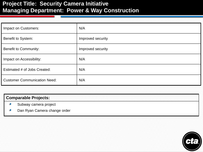## **Project Title: Security Camera Initiative Managing Department: Power & Way Construction**

| Impact on Customers:                | N/A               |
|-------------------------------------|-------------------|
| Benefit to System:                  | Improved security |
| <b>Benefit to Community:</b>        | Improved security |
| Impact on Accessibility:            | N/A               |
| Estimated # of Jobs Created:        | N/A               |
| <b>Customer Communication Need:</b> | N/A               |

#### **Comparable Projects:**

- Subway camera project
- Dan Ryan Camera change order

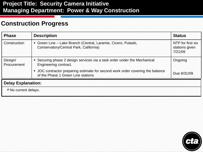## **Project Title: Security Camera Initiative Managing Department: Power & Way Construction**

## **Construction Progress**

| <b>Phase</b>              | <b>Description</b>                                                                                                   | <b>Status</b>                                  |  |
|---------------------------|----------------------------------------------------------------------------------------------------------------------|------------------------------------------------|--|
| Construction              | • Green Line – Lake Branch (Central, Laramie, Cicero, Pulaski,<br>Conservatory/Central Park, California)             | NTP for first six<br>stations given<br>7/21/09 |  |
| Design/<br>Procurement    | • Securing phase 2 design services via a task order under the Mechanical<br>Engineering contract.                    | Ongoing                                        |  |
|                           | • JOC contractor preparing estimate for second work order covering the balance<br>of the Phase 1 Green Line stations | Due 8/31/09                                    |  |
| <b>Delay Explanation:</b> |                                                                                                                      |                                                |  |
| • No current delays.      |                                                                                                                      |                                                |  |

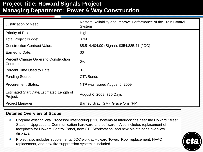## **Project Title: Howard Signals Project Managing Department: Power & Way Construction**

| <b>Justification of Need:</b>                        | Restore Reliability and Improve Performance of the Train Control<br>System |
|------------------------------------------------------|----------------------------------------------------------------------------|
| <b>Priority of Project:</b>                          | High                                                                       |
| <b>Total Project Budget:</b>                         | \$7M                                                                       |
| <b>Construction Contract Value:</b>                  | \$5,514,404.00 (Signal); \$354,885.41 (JOC)                                |
| Earned to Date:                                      | \$0                                                                        |
| Percent Change Orders to Construction<br>Contract:   | $0\%$                                                                      |
| Percent Time Used to Date:                           | $0\%$                                                                      |
| <b>Funding Source:</b>                               | <b>CTA Bonds</b>                                                           |
| <b>Procurement Status:</b>                           | NTP was issued August 6, 2009                                              |
| Estimated Start Date/Estimated Length of<br>Project: | August 6, 2009, 720 Days                                                   |
| <b>Project Manager:</b>                              | Barney Gray (GM); Grace Ohs (PM)                                           |

- Upgrade existing Vital Processor Interlocking (VPI) systems at Interlockings near the Howard Street Station. Upgrades to Communication hardware and software. Also includes replacement of faceplates for Howard Control Panel, new CTC Workstation, and new Maintainer's overview displays.
- Project also includes supplemental JOC work at Howard Tower. Roof replacement, HVAC replacement, and new fire suppression system is included.

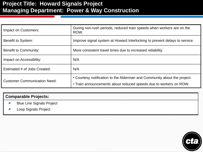## **Project Title: Howard Signals Project Managing Department: Power & Way Construction**

| Impact on Customers:                | During non-rush periods, reduced train speeds when workers are on the<br>ROW.                                                                 |
|-------------------------------------|-----------------------------------------------------------------------------------------------------------------------------------------------|
| Benefit to System:                  | Improve signal system at Howard Interlocking to prevent delays to service.                                                                    |
| <b>Benefit to Community:</b>        | More consistent travel times due to increased reliability.                                                                                    |
| Impact on Accessibility:            | N/A                                                                                                                                           |
| Estimated # of Jobs Created:        | N/A                                                                                                                                           |
| <b>Customer Communication Need:</b> | • Courtesy notification to the Alderman and Community about the project.<br>. Train announcements about reduced speeds due to workers on ROW. |

#### **Comparable Projects:**

- Blue Line Signals Project
- Loop Signals Project

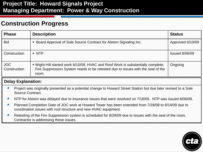## **Project Title: Howard Signals Project Managing Department: Power & Way Construction**

## **Construction Progress**

| <b>Phase</b>               | <b>Description</b>                                                                                                                                                           | <b>Status</b>         |
|----------------------------|------------------------------------------------------------------------------------------------------------------------------------------------------------------------------|-----------------------|
| <b>Bid</b>                 | • Board Approval of Sole Source Contract for Alstom Signaling Inc.                                                                                                           | Approved 6/10/09      |
| Construction               | • NTP                                                                                                                                                                        | <b>Issued 8/06/09</b> |
| <b>JOC</b><br>Construction | . Wight-Hill started work 6/10/09, HVAC and Roof Work is substantially complete,<br>Fire Suppression System needs to be retested due to issues with the seal of the<br>room. | Ongoing               |

#### **Delay Explanation:**

- Project was originally presented as a potential change to Howard Street Station but due later revised to a Sole Source Contract.
- NTP for Alstom was delayed due to insurance issues that were resolved on 7/16/09. NTP was issued 8/06/09.
- Planned Completion Date of JOC work at Howard Tower has been extended from 7/29/09 to 8/14/09 due to coordination issues with roof structure and new HVAC equipment.
- Retesting of the Fire Suppression system is scheduled for 8/28/09 due to issues with the seal of the room. Contractor is addressing these issues.

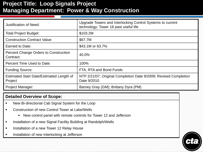## **Project Title: Loop Signals Project Managing Department: Power & Way Construction**

| <b>Justification of Need:</b>                              | Upgrade Towers and Interlocking Control Systems to current<br>technology; Tower 18 past useful life |
|------------------------------------------------------------|-----------------------------------------------------------------------------------------------------|
| <b>Total Project Budget:</b>                               | \$103.2M                                                                                            |
| <b>Construction Contract Value:</b>                        | \$67.7M                                                                                             |
| Earned to Date:                                            | \$43.1M or 63.7%                                                                                    |
| <b>Percent Change Orders to Construction</b><br>Contract:  | 40.0%                                                                                               |
| Percent Time Used to Date:                                 | 100%                                                                                                |
| <b>Funding Source:</b>                                     | FTA, RTA and Bond Funds                                                                             |
| <b>Estimated Start Date/Estimated Length of</b><br>Project | NTP 2/21/07; Original Completion Date 9/2009; Revised Completion<br>Date 9/2010                     |
| <b>Project Manager:</b>                                    | Barney Gray (GM); Brittany Dyra (PM)                                                                |

- New Bi-directional Cab Signal System for the Loop
- Construction of new Control Tower at Lake/Wells
	- New control panel with remote controls for Tower 12 and Jefferson
- **Installation of a new Signal Facility Building at Randolph/Wells**
- Installation of a new Tower 12 Relay House
- Installation of new Interlocking at Jefferson

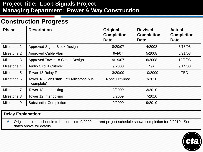## **Project Title: Loop Signals Project Managing Department: Power & Way Construction**

## **Construction Progress**

| <b>Phase</b> | <b>Description</b>                                      | <b>Original</b><br><b>Completion</b><br><b>Date</b> | <b>Revised</b><br><b>Completion</b><br><b>Date</b> | <b>Actual</b><br><b>Completion</b><br><b>Date</b> |
|--------------|---------------------------------------------------------|-----------------------------------------------------|----------------------------------------------------|---------------------------------------------------|
| Milestone 1  | Approved Signal Block Design                            | 8/20/07                                             | 4/2008                                             | 3/18/08                                           |
| Milestone 2  | <b>Approved Cable Plan</b>                              | 9/4/07                                              | 5/2008                                             | 5/21/08                                           |
| Milestone 3  | <b>Approved Tower 18 Circuit Design</b>                 | 9/19/07                                             | 6/2008                                             | 12/2/08                                           |
| Milestone 4  | <b>Audio Circuit Cutover</b>                            | 9/2008                                              | N/A                                                | 9/14/08                                           |
| Milestone 5  | Tower 18 Relay Room                                     | 3/20/09                                             | 10/2009                                            | <b>TBD</b>                                        |
| Milestone 6  | Tower 18 (Can't start until Milestone 5 is<br>complete) | None Provided                                       | 3/2010                                             |                                                   |
| Milestone 7  | Tower 18 Interlocking                                   | 8/2009                                              | 3/2010                                             |                                                   |
| Milestone 8  | Tower 12 Interlocking                                   | 8/2009                                              | 7/2010                                             |                                                   |
| Milestone 9  | <b>Substantial Completion</b>                           | 9/2009                                              | 9/2010                                             |                                                   |

#### **Delay Explanation:**

Original project schedule to be complete 9/2009; current project schedule shows completion for 9/2010. See dates above for details.

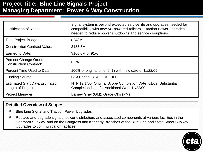## **Project Title: Blue Line Signals Project Managing Department: Power & Way Construction**

| Justification of Need:                                     | Signal system is beyond expected service life and upgrades needed for<br>compatibility with new AC-powered railcars. Traction Power upgrades<br>needed to reduce power shutdowns and service disruptions. |
|------------------------------------------------------------|-----------------------------------------------------------------------------------------------------------------------------------------------------------------------------------------------------------|
| <b>Total Project Budget:</b>                               | \$243M                                                                                                                                                                                                    |
| <b>Construction Contract Value:</b>                        | \$183.3M                                                                                                                                                                                                  |
| Earned to Date:                                            | \$166.6M or 91%                                                                                                                                                                                           |
| Percent Change Orders to<br><b>Construction Contract:</b>  | 6.2%                                                                                                                                                                                                      |
| Percent Time Used to Date:                                 | 100% of original time, 94% with new date of 11/22/09                                                                                                                                                      |
| <b>Funding Source:</b>                                     | CTA Bonds, RTA, FTA, IDOT                                                                                                                                                                                 |
| <b>Estimated Start Date/Estimated</b><br>Length of Project | NTP 12/1/05; Original Scope Completion Date 7/1/09, Substantial<br>Completion Date for Additional Work 11/22/09                                                                                           |
| <b>Project Manager:</b>                                    | Barney Gray (GM); Grace Ohs (PM)                                                                                                                                                                          |

- Blue Line Signal and Traction Power Upgrades.  $\bullet$
- Replace and upgrade signals, power distribution, and associated components at various facilities in the Dearborn Subway, and on the Congress and Kennedy Branches of the Blue Line and State Street Subway. Upgrades to communication facilities.